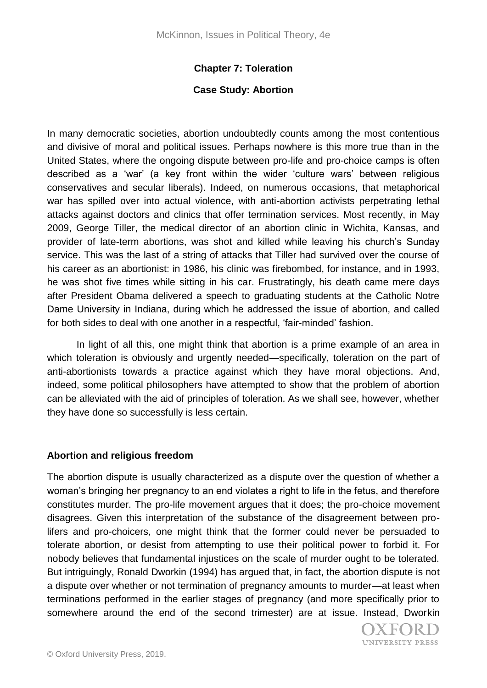## **Chapter 7: Toleration**

### **Case Study: Abortion**

In many democratic societies, abortion undoubtedly counts among the most contentious and divisive of moral and political issues. Perhaps nowhere is this more true than in the United States, where the ongoing dispute between pro-life and pro-choice camps is often described as a 'war' (a key front within the wider 'culture wars' between religious conservatives and secular liberals). Indeed, on numerous occasions, that metaphorical war has spilled over into actual violence, with anti-abortion activists perpetrating lethal attacks against doctors and clinics that offer termination services. Most recently, in May 2009, George Tiller, the medical director of an abortion clinic in Wichita, Kansas, and provider of late-term abortions, was shot and killed while leaving his church's Sunday service. This was the last of a string of attacks that Tiller had survived over the course of his career as an abortionist: in 1986, his clinic was firebombed, for instance, and in 1993, he was shot five times while sitting in his car. Frustratingly, his death came mere days after President Obama delivered a speech to graduating students at the Catholic Notre Dame University in Indiana, during which he addressed the issue of abortion, and called for both sides to deal with one another in a respectful, 'fair-minded' fashion.

In light of all this, one might think that abortion is a prime example of an area in which toleration is obviously and urgently needed—specifically, toleration on the part of anti-abortionists towards a practice against which they have moral objections. And, indeed, some political philosophers have attempted to show that the problem of abortion can be alleviated with the aid of principles of toleration. As we shall see, however, whether they have done so successfully is less certain.

#### **Abortion and religious freedom**

The abortion dispute is usually characterized as a dispute over the question of whether a woman's bringing her pregnancy to an end violates a right to life in the fetus, and therefore constitutes murder. The pro-life movement argues that it does; the pro-choice movement disagrees. Given this interpretation of the substance of the disagreement between prolifers and pro-choicers, one might think that the former could never be persuaded to tolerate abortion, or desist from attempting to use their political power to forbid it. For nobody believes that fundamental injustices on the scale of murder ought to be tolerated. But intriguingly, Ronald Dworkin (1994) has argued that, in fact, the abortion dispute is not a dispute over whether or not termination of pregnancy amounts to murder—at least when terminations performed in the earlier stages of pregnancy (and more specifically prior to somewhere around the end of the second trimester) are at issue. Instead, Dworkin

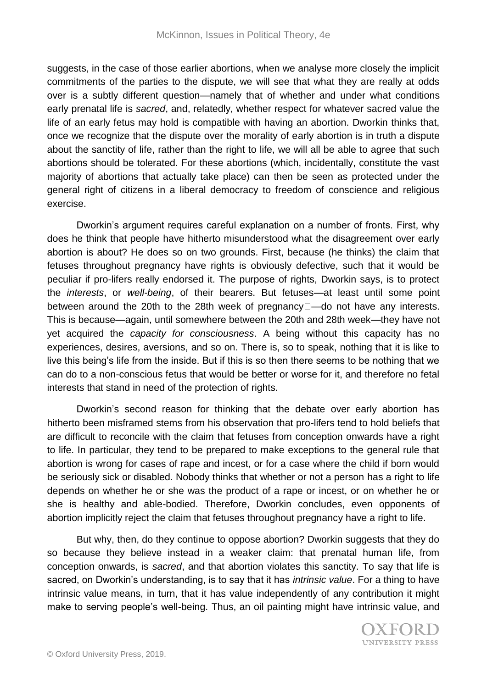suggests, in the case of those earlier abortions, when we analyse more closely the implicit commitments of the parties to the dispute, we will see that what they are really at odds over is a subtly different question—namely that of whether and under what conditions early prenatal life is *sacred*, and, relatedly, whether respect for whatever sacred value the life of an early fetus may hold is compatible with having an abortion. Dworkin thinks that, once we recognize that the dispute over the morality of early abortion is in truth a dispute about the sanctity of life, rather than the right to life, we will all be able to agree that such abortions should be tolerated. For these abortions (which, incidentally, constitute the vast majority of abortions that actually take place) can then be seen as protected under the general right of citizens in a liberal democracy to freedom of conscience and religious exercise.

Dworkin's argument requires careful explanation on a number of fronts. First, why does he think that people have hitherto misunderstood what the disagreement over early abortion is about? He does so on two grounds. First, because (he thinks) the claim that fetuses throughout pregnancy have rights is obviously defective, such that it would be peculiar if pro-lifers really endorsed it. The purpose of rights, Dworkin says, is to protect the *interests*, or *well-being*, of their bearers. But fetuses—at least until some point between around the 20th to the 28th week of pregnancy  $\Box$ —do not have any interests. This is because—again, until somewhere between the 20th and 28th week—they have not yet acquired the *capacity for consciousness*. A being without this capacity has no experiences, desires, aversions, and so on. There is, so to speak, nothing that it is like to live this being's life from the inside. But if this is so then there seems to be nothing that we can do to a non-conscious fetus that would be better or worse for it, and therefore no fetal interests that stand in need of the protection of rights.

Dworkin's second reason for thinking that the debate over early abortion has hitherto been misframed stems from his observation that pro-lifers tend to hold beliefs that are difficult to reconcile with the claim that fetuses from conception onwards have a right to life. In particular, they tend to be prepared to make exceptions to the general rule that abortion is wrong for cases of rape and incest, or for a case where the child if born would be seriously sick or disabled. Nobody thinks that whether or not a person has a right to life depends on whether he or she was the product of a rape or incest, or on whether he or she is healthy and able-bodied. Therefore, Dworkin concludes, even opponents of abortion implicitly reject the claim that fetuses throughout pregnancy have a right to life.

But why, then, do they continue to oppose abortion? Dworkin suggests that they do so because they believe instead in a weaker claim: that prenatal human life, from conception onwards, is *sacred*, and that abortion violates this sanctity. To say that life is sacred, on Dworkin's understanding, is to say that it has *intrinsic value*. For a thing to have intrinsic value means, in turn, that it has value independently of any contribution it might make to serving people's well-being. Thus, an oil painting might have intrinsic value, and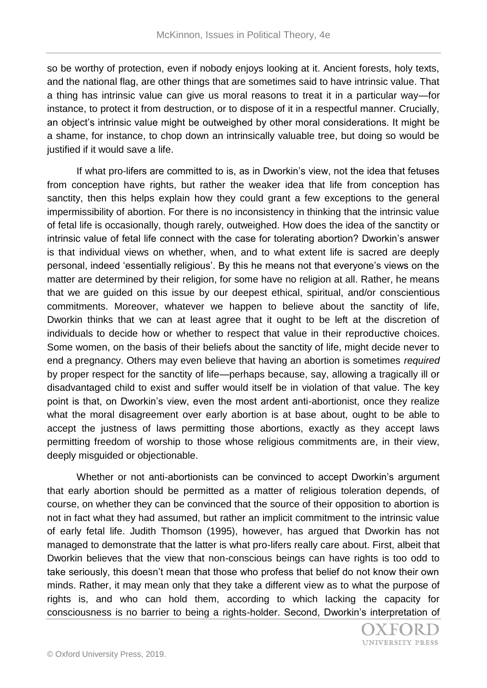so be worthy of protection, even if nobody enjoys looking at it. Ancient forests, holy texts, and the national flag, are other things that are sometimes said to have intrinsic value. That a thing has intrinsic value can give us moral reasons to treat it in a particular way—for instance, to protect it from destruction, or to dispose of it in a respectful manner. Crucially, an object's intrinsic value might be outweighed by other moral considerations. It might be a shame, for instance, to chop down an intrinsically valuable tree, but doing so would be justified if it would save a life.

If what pro-lifers are committed to is, as in Dworkin's view, not the idea that fetuses from conception have rights, but rather the weaker idea that life from conception has sanctity, then this helps explain how they could grant a few exceptions to the general impermissibility of abortion. For there is no inconsistency in thinking that the intrinsic value of fetal life is occasionally, though rarely, outweighed. How does the idea of the sanctity or intrinsic value of fetal life connect with the case for tolerating abortion? Dworkin's answer is that individual views on whether, when, and to what extent life is sacred are deeply personal, indeed 'essentially religious'. By this he means not that everyone's views on the matter are determined by their religion, for some have no religion at all. Rather, he means that we are guided on this issue by our deepest ethical, spiritual, and/or conscientious commitments. Moreover, whatever we happen to believe about the sanctity of life, Dworkin thinks that we can at least agree that it ought to be left at the discretion of individuals to decide how or whether to respect that value in their reproductive choices. Some women, on the basis of their beliefs about the sanctity of life, might decide never to end a pregnancy. Others may even believe that having an abortion is sometimes *required* by proper respect for the sanctity of life—perhaps because, say, allowing a tragically ill or disadvantaged child to exist and suffer would itself be in violation of that value. The key point is that, on Dworkin's view, even the most ardent anti-abortionist, once they realize what the moral disagreement over early abortion is at base about, ought to be able to accept the justness of laws permitting those abortions, exactly as they accept laws permitting freedom of worship to those whose religious commitments are, in their view, deeply misguided or objectionable.

Whether or not anti-abortionists can be convinced to accept Dworkin's argument that early abortion should be permitted as a matter of religious toleration depends, of course, on whether they can be convinced that the source of their opposition to abortion is not in fact what they had assumed, but rather an implicit commitment to the intrinsic value of early fetal life. Judith Thomson (1995), however, has argued that Dworkin has not managed to demonstrate that the latter is what pro-lifers really care about. First, albeit that Dworkin believes that the view that non-conscious beings can have rights is too odd to take seriously, this doesn't mean that those who profess that belief do not know their own minds. Rather, it may mean only that they take a different view as to what the purpose of rights is, and who can hold them, according to which lacking the capacity for consciousness is no barrier to being a rights-holder. Second, Dworkin's interpretation of

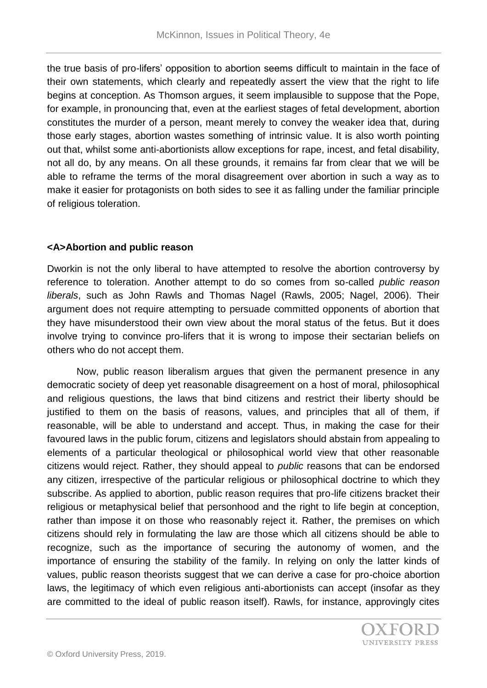the true basis of pro-lifers' opposition to abortion seems difficult to maintain in the face of their own statements, which clearly and repeatedly assert the view that the right to life begins at conception. As Thomson argues, it seem implausible to suppose that the Pope, for example, in pronouncing that, even at the earliest stages of fetal development, abortion constitutes the murder of a person, meant merely to convey the weaker idea that, during those early stages, abortion wastes something of intrinsic value. It is also worth pointing out that, whilst some anti-abortionists allow exceptions for rape, incest, and fetal disability, not all do, by any means. On all these grounds, it remains far from clear that we will be able to reframe the terms of the moral disagreement over abortion in such a way as to make it easier for protagonists on both sides to see it as falling under the familiar principle of religious toleration.

# **<A>Abortion and public reason**

Dworkin is not the only liberal to have attempted to resolve the abortion controversy by reference to toleration. Another attempt to do so comes from so-called *public reason liberals*, such as John Rawls and Thomas Nagel (Rawls, 2005; Nagel, 2006). Their argument does not require attempting to persuade committed opponents of abortion that they have misunderstood their own view about the moral status of the fetus. But it does involve trying to convince pro-lifers that it is wrong to impose their sectarian beliefs on others who do not accept them.

Now, public reason liberalism argues that given the permanent presence in any democratic society of deep yet reasonable disagreement on a host of moral, philosophical and religious questions, the laws that bind citizens and restrict their liberty should be justified to them on the basis of reasons, values, and principles that all of them, if reasonable, will be able to understand and accept. Thus, in making the case for their favoured laws in the public forum, citizens and legislators should abstain from appealing to elements of a particular theological or philosophical world view that other reasonable citizens would reject. Rather, they should appeal to *public* reasons that can be endorsed any citizen, irrespective of the particular religious or philosophical doctrine to which they subscribe. As applied to abortion, public reason requires that pro-life citizens bracket their religious or metaphysical belief that personhood and the right to life begin at conception, rather than impose it on those who reasonably reject it. Rather, the premises on which citizens should rely in formulating the law are those which all citizens should be able to recognize, such as the importance of securing the autonomy of women, and the importance of ensuring the stability of the family. In relying on only the latter kinds of values, public reason theorists suggest that we can derive a case for pro-choice abortion laws, the legitimacy of which even religious anti-abortionists can accept (insofar as they are committed to the ideal of public reason itself). Rawls, for instance, approvingly cites

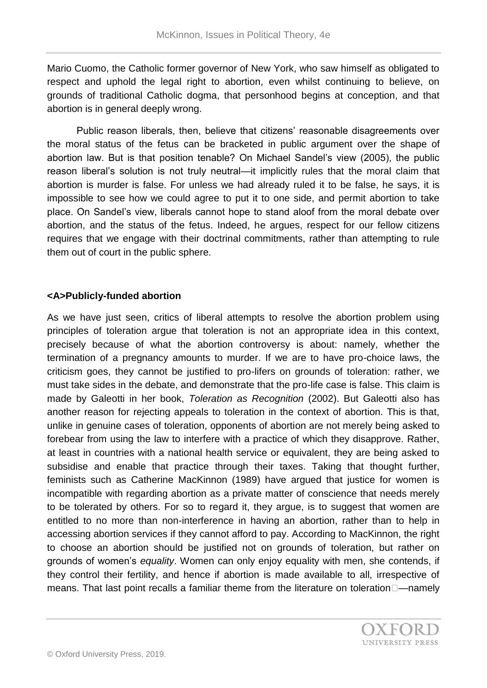Mario Cuomo, the Catholic former governor of New York, who saw himself as obligated to respect and uphold the legal right to abortion, even whilst continuing to believe, on grounds of traditional Catholic dogma, that personhood begins at conception, and that abortion is in general deeply wrong.

Public reason liberals, then, believe that citizens' reasonable disagreements over the moral status of the fetus can be bracketed in public argument over the shape of abortion law. But is that position tenable? On Michael Sandel's view (2005), the public reason liberal's solution is not truly neutral—it implicitly rules that the moral claim that abortion is murder is false. For unless we had already ruled it to be false, he says, it is impossible to see how we could agree to put it to one side, and permit abortion to take place. On Sandel's view, liberals cannot hope to stand aloof from the moral debate over abortion, and the status of the fetus. Indeed, he argues, respect for our fellow citizens requires that we engage with their doctrinal commitments, rather than attempting to rule them out of court in the public sphere.

### **<A>Publicly-funded abortion**

As we have just seen, critics of liberal attempts to resolve the abortion problem using principles of toleration argue that toleration is not an appropriate idea in this context, precisely because of what the abortion controversy is about: namely, whether the termination of a pregnancy amounts to murder. If we are to have pro-choice laws, the criticism goes, they cannot be justified to pro-lifers on grounds of toleration: rather, we must take sides in the debate, and demonstrate that the pro-life case is false. This claim is made by Galeotti in her book, *Toleration as Recognition* (2002). But Galeotti also has another reason for rejecting appeals to toleration in the context of abortion. This is that, unlike in genuine cases of toleration, opponents of abortion are not merely being asked to forebear from using the law to interfere with a practice of which they disapprove. Rather, at least in countries with a national health service or equivalent, they are being asked to subsidise and enable that practice through their taxes. Taking that thought further, feminists such as Catherine MacKinnon (1989) have argued that justice for women is incompatible with regarding abortion as a private matter of conscience that needs merely to be tolerated by others. For so to regard it, they argue, is to suggest that women are entitled to no more than non-interference in having an abortion, rather than to help in accessing abortion services if they cannot afford to pay. According to MacKinnon, the right to choose an abortion should be justified not on grounds of toleration, but rather on grounds of women's *equality*. Women can only enjoy equality with men, she contends, if they control their fertility, and hence if abortion is made available to all, irrespective of means. That last point recalls a familiar theme from the literature on toleration—namely